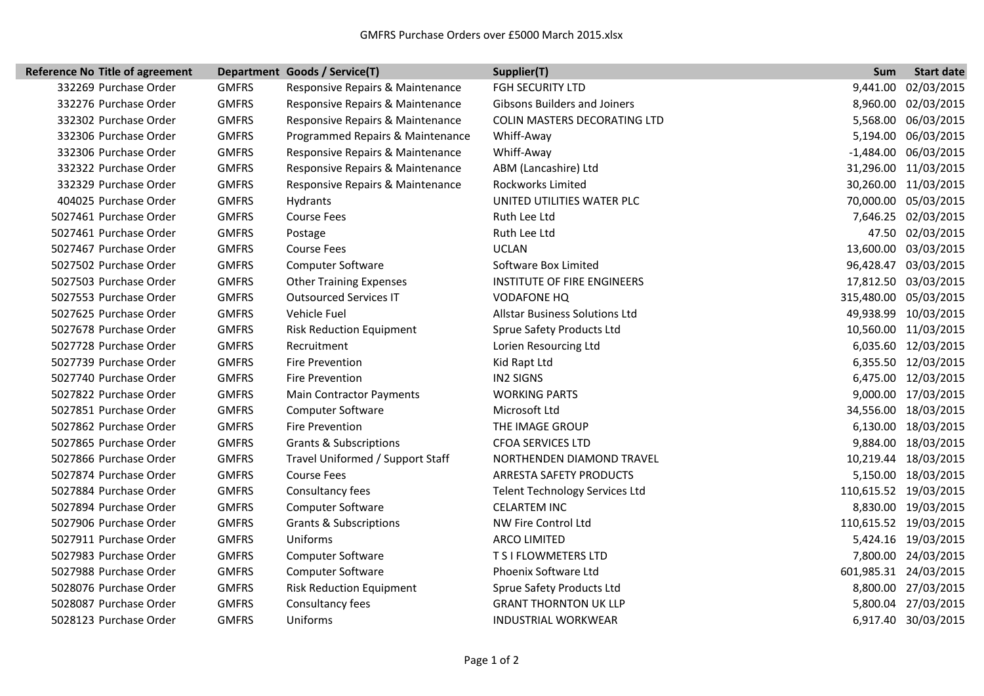I

| <b>Reference No Title of agreement</b> |              | Department Goods / Service(T)     | Supplier(T)                           | Sum      | <b>Start date</b>     |
|----------------------------------------|--------------|-----------------------------------|---------------------------------------|----------|-----------------------|
| 332269 Purchase Order                  | <b>GMFRS</b> | Responsive Repairs & Maintenance  | <b>FGH SECURITY LTD</b>               | 9,441.00 | 02/03/2015            |
| 332276 Purchase Order                  | <b>GMFRS</b> | Responsive Repairs & Maintenance  | <b>Gibsons Builders and Joiners</b>   |          | 8,960.00 02/03/2015   |
| 332302 Purchase Order                  | <b>GMFRS</b> | Responsive Repairs & Maintenance  | COLIN MASTERS DECORATING LTD          |          | 5,568.00 06/03/2015   |
| 332306 Purchase Order                  | <b>GMFRS</b> | Programmed Repairs & Maintenance  | Whiff-Away                            |          | 5,194.00 06/03/2015   |
| 332306 Purchase Order                  | <b>GMFRS</b> | Responsive Repairs & Maintenance  | Whiff-Away                            |          | -1,484.00 06/03/2015  |
| 332322 Purchase Order                  | <b>GMFRS</b> | Responsive Repairs & Maintenance  | ABM (Lancashire) Ltd                  |          | 31,296.00 11/03/2015  |
| 332329 Purchase Order                  | <b>GMFRS</b> | Responsive Repairs & Maintenance  | Rockworks Limited                     |          | 30,260.00 11/03/2015  |
| 404025 Purchase Order                  | <b>GMFRS</b> | Hydrants                          | UNITED UTILITIES WATER PLC            |          | 70,000.00 05/03/2015  |
| 5027461 Purchase Order                 | <b>GMFRS</b> | <b>Course Fees</b>                | Ruth Lee Ltd                          |          | 7,646.25 02/03/2015   |
| 5027461 Purchase Order                 | <b>GMFRS</b> | Postage                           | Ruth Lee Ltd                          |          | 47.50 02/03/2015      |
| 5027467 Purchase Order                 | <b>GMFRS</b> | <b>Course Fees</b>                | <b>UCLAN</b>                          |          | 13,600.00 03/03/2015  |
| 5027502 Purchase Order                 | <b>GMFRS</b> | <b>Computer Software</b>          | Software Box Limited                  |          | 96,428.47 03/03/2015  |
| 5027503 Purchase Order                 | <b>GMFRS</b> | <b>Other Training Expenses</b>    | <b>INSTITUTE OF FIRE ENGINEERS</b>    |          | 17,812.50 03/03/2015  |
| 5027553 Purchase Order                 | <b>GMFRS</b> | <b>Outsourced Services IT</b>     | <b>VODAFONE HQ</b>                    |          | 315,480.00 05/03/2015 |
| 5027625 Purchase Order                 | <b>GMFRS</b> | Vehicle Fuel                      | <b>Allstar Business Solutions Ltd</b> |          | 49,938.99 10/03/2015  |
| 5027678 Purchase Order                 | <b>GMFRS</b> | <b>Risk Reduction Equipment</b>   | Sprue Safety Products Ltd             |          | 10,560.00 11/03/2015  |
| 5027728 Purchase Order                 | <b>GMFRS</b> | Recruitment                       | Lorien Resourcing Ltd                 |          | 6,035.60 12/03/2015   |
| 5027739 Purchase Order                 | <b>GMFRS</b> | Fire Prevention                   | Kid Rapt Ltd                          |          | 6,355.50 12/03/2015   |
| 5027740 Purchase Order                 | <b>GMFRS</b> | Fire Prevention                   | <b>IN2 SIGNS</b>                      |          | 6,475.00 12/03/2015   |
| 5027822 Purchase Order                 | <b>GMFRS</b> | <b>Main Contractor Payments</b>   | <b>WORKING PARTS</b>                  |          | 9,000.00 17/03/2015   |
| 5027851 Purchase Order                 | <b>GMFRS</b> | <b>Computer Software</b>          | Microsoft Ltd                         |          | 34,556.00 18/03/2015  |
| 5027862 Purchase Order                 | <b>GMFRS</b> | Fire Prevention                   | THE IMAGE GROUP                       |          | 6,130.00 18/03/2015   |
| 5027865 Purchase Order                 | <b>GMFRS</b> | <b>Grants &amp; Subscriptions</b> | <b>CFOA SERVICES LTD</b>              |          | 9,884.00 18/03/2015   |
| 5027866 Purchase Order                 | <b>GMFRS</b> | Travel Uniformed / Support Staff  | NORTHENDEN DIAMOND TRAVEL             |          | 10,219.44 18/03/2015  |
| 5027874 Purchase Order                 | <b>GMFRS</b> | <b>Course Fees</b>                | ARRESTA SAFETY PRODUCTS               |          | 5,150.00 18/03/2015   |
| 5027884 Purchase Order                 | <b>GMFRS</b> | Consultancy fees                  | <b>Telent Technology Services Ltd</b> |          | 110,615.52 19/03/2015 |
| 5027894 Purchase Order                 | <b>GMFRS</b> | <b>Computer Software</b>          | <b>CELARTEM INC</b>                   |          | 8,830.00 19/03/2015   |
| 5027906 Purchase Order                 | <b>GMFRS</b> | <b>Grants &amp; Subscriptions</b> | NW Fire Control Ltd                   |          | 110,615.52 19/03/2015 |
| 5027911 Purchase Order                 | <b>GMFRS</b> | Uniforms                          | <b>ARCO LIMITED</b>                   |          | 5,424.16 19/03/2015   |
| 5027983 Purchase Order                 | <b>GMFRS</b> | <b>Computer Software</b>          | T S I FLOWMETERS LTD                  |          | 7,800.00 24/03/2015   |
| 5027988 Purchase Order                 | <b>GMFRS</b> | <b>Computer Software</b>          | Phoenix Software Ltd                  |          | 601,985.31 24/03/2015 |
| 5028076 Purchase Order                 | <b>GMFRS</b> | <b>Risk Reduction Equipment</b>   | Sprue Safety Products Ltd             |          | 8,800.00 27/03/2015   |
| 5028087 Purchase Order                 | <b>GMFRS</b> | Consultancy fees                  | <b>GRANT THORNTON UK LLP</b>          |          | 5,800.04 27/03/2015   |
| 5028123 Purchase Order                 | <b>GMFRS</b> | Uniforms                          | <b>INDUSTRIAL WORKWEAR</b>            |          | 6,917.40 30/03/2015   |